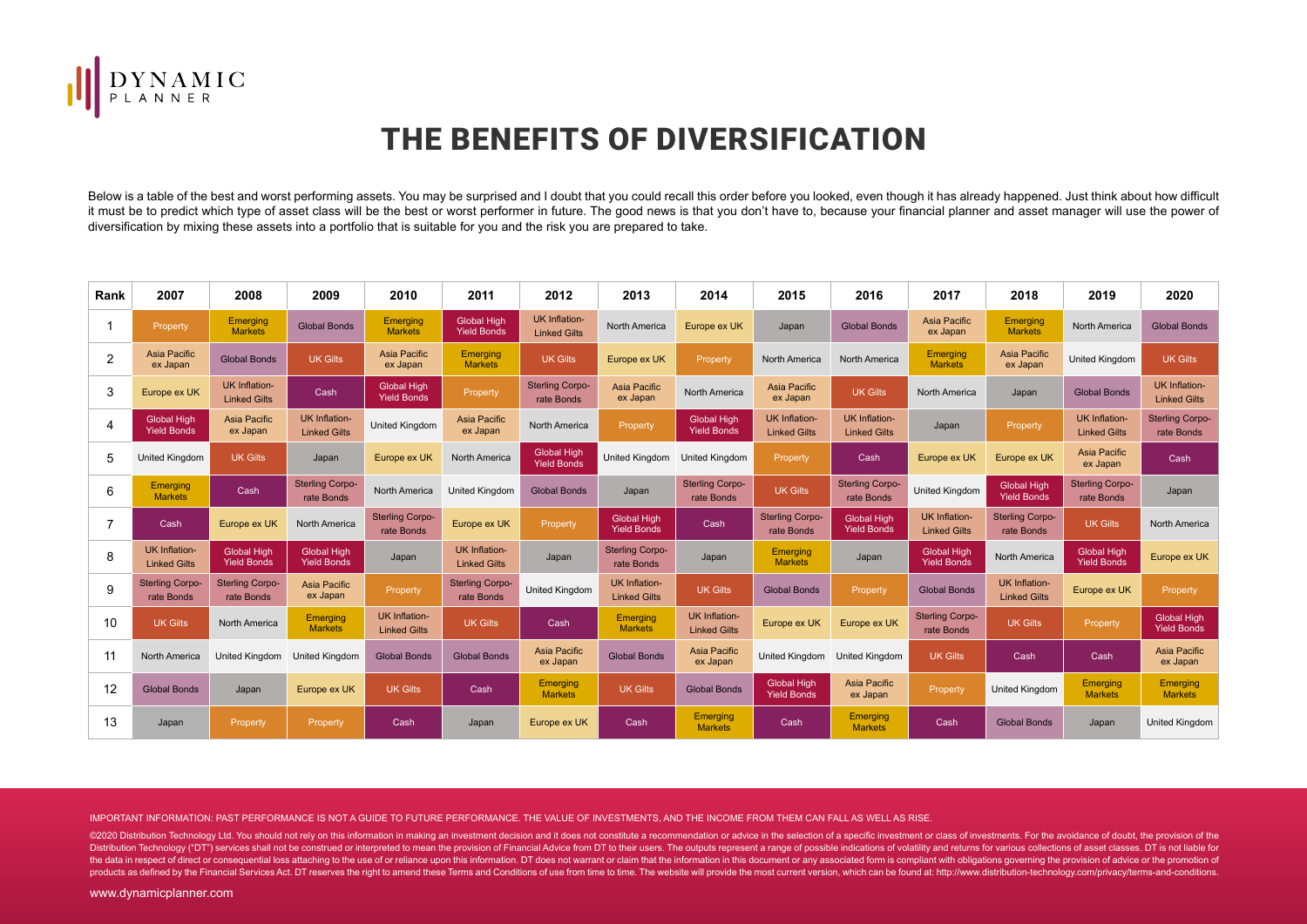

## THE BENEFITS OF DIVERSIFICATION

Below is a table of the best and worst performing assets. You may be surprised and I doubt that you could recall this order before you looked, even though it has already happened. Just think about how difficult it must be to predict which type of asset class will be the best or worst performer in future. The good news is that you don't have to, because your financial planner and asset manager will use the power of diversification by mixing these assets into a portfolio that is suitable for you and the risk you are prepared to take.

| Rank           | 2007                                        | 2008                                        | 2009                                        | 2010                                        | 2011                                        | 2012                                        | 2013                                        | 2014                                        | 2015                                        | 2016                                        | 2017                                        | 2018                                        | 2019                                        | 2020                                        |
|----------------|---------------------------------------------|---------------------------------------------|---------------------------------------------|---------------------------------------------|---------------------------------------------|---------------------------------------------|---------------------------------------------|---------------------------------------------|---------------------------------------------|---------------------------------------------|---------------------------------------------|---------------------------------------------|---------------------------------------------|---------------------------------------------|
|                | <b>Property</b>                             | Emerging<br><b>Markets</b>                  | <b>Global Bonds</b>                         | Emerging<br><b>Markets</b>                  | <b>Global High</b><br><b>Yield Bonds</b>    | <b>UK Inflation-</b><br><b>Linked Gilts</b> | North America                               | Europe ex UK                                | Japan                                       | <b>Global Bonds</b>                         | Asia Pacific<br>ex Japan                    | Emerging<br><b>Markets</b>                  | <b>North America</b>                        | <b>Global Bonds</b>                         |
| 2              | Asia Pacific<br>ex Japan                    | <b>Global Bonds</b>                         | <b>UK Gilts</b>                             | Asia Pacific<br>ex Japan                    | Emerging<br><b>Markets</b>                  | <b>UK Gilts</b>                             | Europe ex UK                                | Property                                    | North America                               | North America                               | <b>Emerging</b><br><b>Markets</b>           | Asia Pacific<br>ex Japan                    | <b>United Kingdom</b>                       | <b>UK Gilts</b>                             |
| 3              | Europe ex UK                                | <b>UK Inflation-</b><br><b>Linked Gilts</b> | Cash                                        | <b>Global High</b><br><b>Yield Bonds</b>    | Property                                    | <b>Sterling Corpo-</b><br>rate Bonds        | Asia Pacific<br>ex Japan                    | <b>North America</b>                        | Asia Pacific<br>ex Japan                    | <b>UK Gilts</b>                             | North America                               | Japan                                       | <b>Global Bonds</b>                         | <b>UK Inflation-</b><br><b>Linked Gilts</b> |
| $\overline{4}$ | <b>Global High</b><br><b>Yield Bonds</b>    | Asia Pacific<br>ex Japan                    | <b>UK Inflation-</b><br><b>Linked Gilts</b> | <b>United Kingdom</b>                       | Asia Pacific<br>ex Japan                    | <b>North America</b>                        | Property                                    | <b>Global High</b><br><b>Yield Bonds</b>    | <b>UK Inflation-</b><br><b>Linked Gilts</b> | <b>UK Inflation-</b><br><b>Linked Gilts</b> | Japan                                       | Property                                    | <b>UK Inflation-</b><br><b>Linked Gilts</b> | <b>Sterling Corpo-</b><br>rate Bonds        |
| 5              | <b>United Kingdom</b>                       | <b>UK Gilts</b>                             | Japan                                       | Europe ex UK                                | North America                               | Global High<br><b>Yield Bonds</b>           | United Kingdom                              | <b>United Kingdom</b>                       | Property                                    | Cash                                        | Europe ex UK                                | Europe ex UK                                | <b>Asia Pacific</b><br>ex Japan             | Cash                                        |
| 6              | Emerging<br><b>Markets</b>                  | Cash                                        | <b>Sterling Corpo-</b><br>rate Bonds        | North America                               | <b>United Kingdom</b>                       | <b>Global Bonds</b>                         | Japan                                       | <b>Sterling Corpo-</b><br>rate Bonds        | <b>UK Gilts</b>                             | <b>Sterling Corpo-</b><br>rate Bonds        | United Kingdom                              | <b>Global High</b><br><b>Yield Bonds</b>    | <b>Sterling Corpo-</b><br>rate Bonds        | Japan                                       |
|                | Cash                                        | Europe ex UK                                | North America                               | <b>Sterling Corpo-</b><br>rate Bonds        | Europe ex UK                                | Property                                    | <b>Global High</b><br><b>Yield Bonds</b>    | Cash                                        | <b>Sterling Corpo-</b><br>rate Bonds        | <b>Global High</b><br><b>Yield Bonds</b>    | <b>UK Inflation-</b><br><b>Linked Gilts</b> | <b>Sterling Corpo-</b><br>rate Bonds        | <b>UK Gilts</b>                             | North America                               |
| 8              | <b>UK Inflation-</b><br><b>Linked Gilts</b> | <b>Global High</b><br><b>Yield Bonds</b>    | <b>Global High</b><br><b>Yield Bonds</b>    | Japan                                       | <b>UK Inflation-</b><br><b>Linked Gilts</b> | Japan                                       | <b>Sterling Corpo-</b><br>rate Bonds        | Japan                                       | Emerging<br><b>Markets</b>                  | Japan                                       | <b>Global High</b><br><b>Yield Bonds</b>    | North America                               | <b>Global High</b><br><b>Yield Bonds</b>    | Europe ex UK                                |
| 9              | <b>Sterling Corpo-</b><br>rate Bonds        | <b>Sterling Corpo-</b><br>rate Bonds        | Asia Pacific<br>ex Japan                    | Property                                    | <b>Sterling Corpo-</b><br>rate Bonds        | United Kingdom                              | <b>UK Inflation-</b><br><b>Linked Gilts</b> | <b>UK Gilts</b>                             | <b>Global Bonds</b>                         | Property                                    | <b>Global Bonds</b>                         | <b>UK Inflation-</b><br><b>Linked Gilts</b> | Europe ex UK                                | Property                                    |
| 10             | <b>UK Gilts</b>                             | North America                               | Emerging<br><b>Markets</b>                  | <b>UK Inflation-</b><br><b>Linked Gilts</b> | <b>UK Gilts</b>                             | Cash                                        | Emerging<br><b>Markets</b>                  | <b>UK Inflation-</b><br><b>Linked Gilts</b> | Europe ex UK                                | Europe ex UK                                | <b>Sterling Corpo-</b><br>rate Bonds        | <b>UK Gilts</b>                             | Property                                    | <b>Global High</b><br><b>Yield Bonds</b>    |
| 11             | <b>North America</b>                        | United Kingdom United Kingdom               |                                             | <b>Global Bonds</b>                         | <b>Global Bonds</b>                         | Asia Pacific<br>ex Japan                    | <b>Global Bonds</b>                         | Asia Pacific<br>ex Japan                    | United Kingdom United Kingdom               |                                             | <b>UK Gilts</b>                             | Cash                                        | Cash                                        | Asia Pacific<br>ex Japan                    |
| 12             | <b>Global Bonds</b>                         | Japan                                       | Europe ex UK                                | <b>UK Gilts</b>                             | Cash                                        | Emerging<br><b>Markets</b>                  | <b>UK Gilts</b>                             | <b>Global Bonds</b>                         | <b>Global High</b><br><b>Yield Bonds</b>    | Asia Pacific<br>ex Japan                    | Property                                    | <b>United Kingdom</b>                       | <b>Emerging</b><br><b>Markets</b>           | Emerging<br><b>Markets</b>                  |
| 13             | Japan                                       | Property                                    | Property                                    | Cash                                        | Japan                                       | Europe ex UK                                | Cash                                        | <b>Emerging</b><br><b>Markets</b>           | Cash                                        | Emerging<br><b>Markets</b>                  | Cash                                        | <b>Global Bonds</b>                         | Japan                                       | United Kingdom                              |

IMPORTANT INFORMATION: PAST PERFORMANCE IS NOT A GUIDE TO FUTURE PERFORMANCE. THE VALUE OF INVESTMENTS, AND THE INCOME FROM THEM CAN FALL AS WELL AS RISE.

@2020 Distribution Technology Ltd. You should not rely on this information in making an investment decision and it does not constitute a recommendation or advice in the selection of a specific investment or class of invest Distribution Technology ("DT") services shall not be construed or interpreted to mean the provision of Financial Advice from DT to their users. The outputs represent a range of possible indications of volatility and return the data in respect of direct or consequential loss attaching to the use of or reliance upon this information. DT does not warrant or claim that the information in this document or any associated form is compliant with obl products as defined by the Financial Services Act. DT reserves the right to amend these Terms and Conditions of use from time to time. The website will provide the most current version, which can be found at: http://www.di

www.dynamicplanner.com